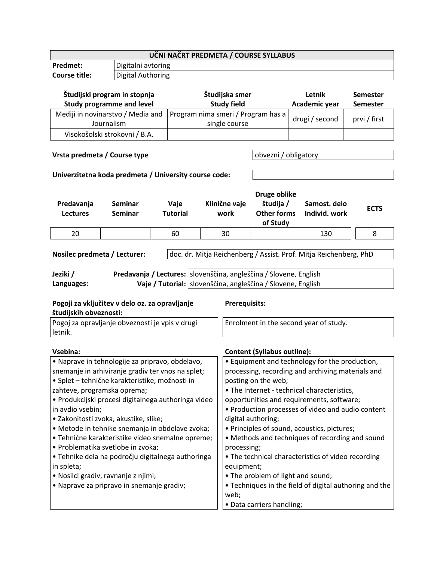| <b>Predmet:</b>                                       |                                                |                                                                     | UČNI NAČRT PREDMETA / COURSE SYLLABUS |                      |                                    |                                                                   |                 |             |
|-------------------------------------------------------|------------------------------------------------|---------------------------------------------------------------------|---------------------------------------|----------------------|------------------------------------|-------------------------------------------------------------------|-----------------|-------------|
|                                                       | Digitalni avtoring                             |                                                                     |                                       |                      |                                    |                                                                   |                 |             |
| <b>Course title:</b>                                  | <b>Digital Authoring</b>                       |                                                                     |                                       |                      |                                    |                                                                   |                 |             |
|                                                       |                                                |                                                                     |                                       |                      |                                    |                                                                   |                 |             |
| Študijski program in stopnja                          |                                                |                                                                     | Študijska smer                        |                      | Letnik                             | <b>Semester</b>                                                   |                 |             |
| <b>Study programme and level</b>                      |                                                |                                                                     |                                       | <b>Study field</b>   |                                    | Academic year                                                     | <b>Semester</b> |             |
| Mediji in novinarstvo / Media and                     |                                                |                                                                     | Program nima smeri / Program has a    |                      |                                    |                                                                   |                 |             |
| Journalism                                            |                                                |                                                                     |                                       | single course        | drugi / second<br>prvi / first     |                                                                   |                 |             |
| Visokošolski strokovni / B.A.                         |                                                |                                                                     |                                       |                      |                                    |                                                                   |                 |             |
|                                                       |                                                |                                                                     |                                       |                      |                                    |                                                                   |                 |             |
| Vrsta predmeta / Course type                          |                                                |                                                                     |                                       | obvezni / obligatory |                                    |                                                                   |                 |             |
|                                                       |                                                |                                                                     |                                       |                      |                                    |                                                                   |                 |             |
| Univerzitetna koda predmeta / University course code: |                                                |                                                                     |                                       |                      |                                    |                                                                   |                 |             |
|                                                       |                                                |                                                                     |                                       |                      |                                    |                                                                   |                 |             |
|                                                       |                                                |                                                                     |                                       |                      | Druge oblike                       |                                                                   |                 |             |
| Predavanja                                            | Seminar                                        | Vaje                                                                |                                       | Klinične vaje        | študija /                          | Samost. delo                                                      |                 |             |
| <b>Lectures</b>                                       | <b>Seminar</b>                                 | <b>Tutorial</b>                                                     |                                       | work                 | <b>Other forms</b>                 | Individ. work                                                     |                 | <b>ECTS</b> |
|                                                       |                                                |                                                                     |                                       |                      | of Study                           |                                                                   |                 |             |
| 20                                                    |                                                | 60                                                                  |                                       | 30                   |                                    | 130                                                               |                 | 8           |
|                                                       |                                                |                                                                     |                                       |                      |                                    |                                                                   |                 |             |
| Nosilec predmeta / Lecturer:                          |                                                |                                                                     |                                       |                      |                                    | doc. dr. Mitja Reichenberg / Assist. Prof. Mitja Reichenberg, PhD |                 |             |
|                                                       |                                                |                                                                     |                                       |                      |                                    |                                                                   |                 |             |
| Jeziki /                                              |                                                | Predavanja / Lectures:   slovenščina, angleščina / Slovene, English |                                       |                      |                                    |                                                                   |                 |             |
| Languages:                                            |                                                |                                                                     |                                       |                      |                                    |                                                                   |                 |             |
|                                                       |                                                | Vaje / Tutorial: slovenščina, angleščina / Slovene, English         |                                       |                      |                                    |                                                                   |                 |             |
|                                                       | Pogoji za vključitev v delo oz. za opravljanje |                                                                     |                                       |                      |                                    |                                                                   |                 |             |
| študijskih obveznosti:                                |                                                |                                                                     |                                       | <b>Prerequisits:</b> |                                    |                                                                   |                 |             |
|                                                       |                                                |                                                                     |                                       |                      |                                    |                                                                   |                 |             |
| Pogoj za opravljanje obveznosti je vpis v drugi       |                                                |                                                                     |                                       |                      |                                    | Enrolment in the second year of study.                            |                 |             |
| letnik.                                               |                                                |                                                                     |                                       |                      |                                    |                                                                   |                 |             |
|                                                       |                                                |                                                                     |                                       |                      |                                    |                                                                   |                 |             |
| Vsebina:                                              |                                                |                                                                     |                                       |                      | <b>Content (Syllabus outline):</b> |                                                                   |                 |             |
| · Naprave in tehnologije za pripravo, obdelavo,       |                                                |                                                                     |                                       |                      |                                    | • Equipment and technology for the production,                    |                 |             |
| snemanje in arhiviranje gradiv ter vnos na splet;     |                                                |                                                                     |                                       |                      |                                    | processing, recording and archiving materials and                 |                 |             |
| · Splet - tehnične karakteristike, možnosti in        |                                                |                                                                     |                                       |                      | posting on the web;                |                                                                   |                 |             |
| zahteve, programska oprema;                           |                                                |                                                                     |                                       |                      |                                    | • The Internet - technical characteristics,                       |                 |             |
| · Produkcijski procesi digitalnega authoringa video   |                                                |                                                                     |                                       |                      |                                    | opportunities and requirements, software;                         |                 |             |
| in avdio vsebin;                                      |                                                |                                                                     |                                       |                      |                                    | • Production processes of video and audio content                 |                 |             |
| · Zakonitosti zvoka, akustike, slike;                 |                                                |                                                                     |                                       |                      | digital authoring;                 |                                                                   |                 |             |
| · Metode in tehnike snemanja in obdelave zvoka;       |                                                |                                                                     |                                       |                      |                                    | • Principles of sound, acoustics, pictures;                       |                 |             |
| · Tehnične karakteristike video snemalne opreme;      |                                                |                                                                     |                                       |                      |                                    | • Methods and techniques of recording and sound                   |                 |             |
| · Problematika svetlobe in zvoka;                     |                                                |                                                                     |                                       | processing;          |                                    |                                                                   |                 |             |
| · Tehnike dela na področju digitalnega authoringa     |                                                |                                                                     |                                       |                      |                                    | • The technical characteristics of video recording                |                 |             |
| in spleta;                                            |                                                |                                                                     |                                       | equipment;           |                                    |                                                                   |                 |             |
| · Nosilci gradiv, ravnanje z njimi;                   |                                                |                                                                     |                                       |                      |                                    | • The problem of light and sound;                                 |                 |             |
| • Naprave za pripravo in snemanje gradiv;             |                                                |                                                                     |                                       | web;                 |                                    | • Techniques in the field of digital authoring and the            |                 |             |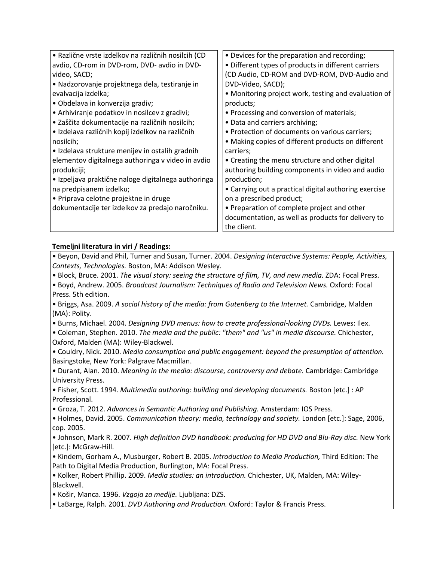| · Različne vrste izdelkov na različnih nosilcih (CD | • Devices for the preparation and recording;          |
|-----------------------------------------------------|-------------------------------------------------------|
| avdio, CD-rom in DVD-rom, DVD- avdio in DVD-        | • Different types of products in different carriers   |
| video, SACD;                                        | (CD Audio, CD-ROM and DVD-ROM, DVD-Audio and          |
| • Nadzorovanje projektnega dela, testiranje in      | DVD-Video, SACD);                                     |
| evalvacija izdelka;                                 | • Monitoring project work, testing and evaluation of  |
| · Obdelava in konverzija gradiv;                    | products;                                             |
| • Arhiviranje podatkov in nosilcev z gradivi;       | • Processing and conversion of materials;             |
| · Zaščita dokumentacije na različnih nosilcih;      | • Data and carriers archiving;                        |
| · Izdelava različnih kopij izdelkov na različnih    | • Protection of documents on various carriers;        |
| nosilcih;                                           | • Making copies of different products on different    |
| • Izdelava strukture menijev in ostalih gradnih     | carriers;                                             |
| elementov digitalnega authoringa v video in avdio   | • Creating the menu structure and other digital       |
| produkciji;                                         | authoring building components in video and audio      |
| • Izpeljava praktične naloge digitalnega authoringa | production;                                           |
| na predpisanem izdelku;                             | • Carrying out a practical digital authoring exercise |
| • Priprava celotne projektne in druge               | on a prescribed product;                              |
| dokumentacije ter izdelkov za predajo naročniku.    | • Preparation of complete project and other           |
|                                                     | documentation, as well as products for delivery to    |
|                                                     | the client.                                           |

## **Temeljni literatura in viri / Readings:**

• Beyon, David and Phil, Turner and Susan, Turner. 2004. *Designing Interactive Systems: People, Activities, Contexts, Technologies.* Boston, MA: Addison Wesley.

- Block, Bruce. 2001. *The visual story: seeing the structure of film, TV, and new media.* ZDA: Focal Press.
- Boyd, Andrew. 2005. *Broadcast Journalism: Techniques of Radio and Television News.* Oxford: Focal Press. 5th edition.

• Briggs, Asa. 2009. *A social history of the media: from Gutenberg to the Internet.* Cambridge, Malden (MA): Polity.

- Burns, Michael. 2004. *Designing DVD menus: how to create professional-looking DVDs.* Lewes: Ilex.
- Coleman, Stephen. 2010. *The media and the public: "them" and "us" in media discourse.* Chichester, Oxford, Malden (MA): Wiley-Blackwel.

• Couldry, Nick. 2010. *Media consumption and public engagement: beyond the presumption of attention.* Basingstoke, New York: Palgrave Macmillan.

• Durant, Alan. 2010. *Meaning in the media: discourse, controversy and debate.* Cambridge: Cambridge University Press.

• Fisher, Scott. 1994. *Multimedia authoring: building and developing documents.* Boston [etc.] : AP Professional.

• Groza, T. 2012. *Advances in Semantic Authoring and Publishing.* Amsterdam: IOS Press.

• Holmes, David. 2005. *Communication theory: media, technology and society.* London [etc.]: Sage, 2006, cop. 2005.

• Johnson, Mark R. 2007. *High definition DVD handbook: producing for HD DVD and Blu-Ray disc.* New York [etc.]: McGraw-Hill.

• Kindem, Gorham A., Musburger, Robert B. 2005. *Introduction to Media Production,* Third Edition: The Path to Digital Media Production, Burlington, MA: Focal Press.

• Kolker, Robert Phillip. 2009. *Media studies: an introduction.* Chichester, UK, Malden, MA: Wiley-Blackwell.

• Košir, Manca. 1996. *Vzgoja za medije.* Ljubljana: DZS.

• LaBarge, Ralph. 2001. *DVD Authoring and Production.* Oxford: Taylor & Francis Press.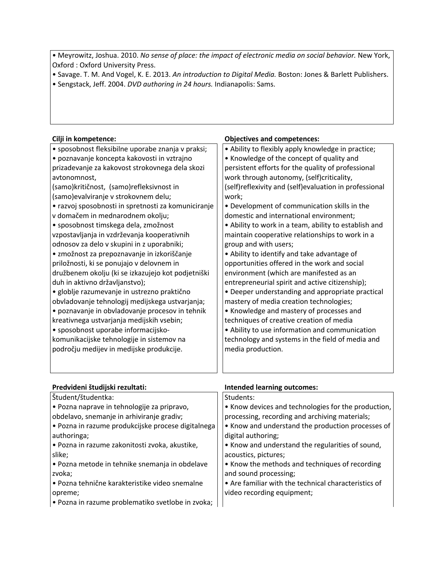• Meyrowitz, Joshua. 2010. *No sense of place: the impact of electronic media on social behavior.* New York, Oxford : Oxford University Press.

- Savage. T. M. And Vogel, K. E. 2013. *An introduction to Digital Media.* Boston: Jones & Barlett Publishers.
- Sengstack, Jeff. 2004. *DVD authoring in 24 hours.* Indianapolis: Sams.

## **Cilji in kompetence: Objectives and competences:** • sposobnost fleksibilne uporabe znanja v praksi; • poznavanje koncepta kakovosti in vztrajno prizadevanje za kakovost strokovnega dela skozi avtonomnost, (samo)kritičnost, (samo)refleksivnost in (samo)evalviranje v strokovnem delu; • razvoj sposobnosti in spretnosti za komuniciranje v domačem in mednarodnem okolju; • sposobnost timskega dela, zmožnost vzpostavljanja in vzdrževanja kooperativnih odnosov za delo v skupini in z uporabniki; • zmožnost za prepoznavanje in izkoriščanje priložnosti, ki se ponujajo v delovnem in družbenem okolju (ki se izkazujejo kot podjetniški duh in aktivno državljanstvo); • globlje razumevanje in ustrezno praktično obvladovanje tehnologij medijskega ustvarjanja; • poznavanje in obvladovanje procesov in tehnik kreativnega ustvarjanja medijskih vsebin; • sposobnost uporabe informacijskokomunikacijske tehnologije in sistemov na področju medijev in medijske produkcije. • Ability to flexibly apply knowledge in practice; • Knowledge of the concept of quality and persistent efforts for the quality of professional work through autonomy, (self)criticality, (self)reflexivity and (self)evaluation in professional work; • Development of communication skills in the domestic and international environment; • Ability to work in a team, ability to establish and maintain cooperative relationships to work in a group and with users; • Ability to identify and take advantage of opportunities offered in the work and social environment (which are manifested as an entrepreneurial spirit and active citizenship); • Deeper understanding and appropriate practical mastery of media creation technologies; • Knowledge and mastery of processes and techniques of creative creation of media • Ability to use information and communication technology and systems in the field of media and media production.

| Predvideni študijski rezultati:                    | <b>Intended learning outcomes:</b>                   |
|----------------------------------------------------|------------------------------------------------------|
| Študent/študentka:                                 | Students:                                            |
| · Pozna naprave in tehnologije za pripravo,        | • Know devices and technologies for the production,  |
| obdelavo, snemanje in arhiviranje gradiv;          | processing, recording and archiving materials;       |
| · Pozna in razume produkcijske procese digitalnega | • Know and understand the production processes of    |
| authoringa;                                        | digital authoring;                                   |
| · Pozna in razume zakonitosti zvoka, akustike,     | • Know and understand the regularities of sound,     |
| slike;                                             | acoustics, pictures;                                 |
| • Pozna metode in tehnike snemanja in obdelave     | • Know the methods and techniques of recording       |
| zvoka;                                             | and sound processing;                                |
| · Pozna tehnične karakteristike video snemalne     | • Are familiar with the technical characteristics of |
| opreme;                                            | video recording equipment;                           |
| · Pozna in razume problematiko svetlobe in zvoka;  |                                                      |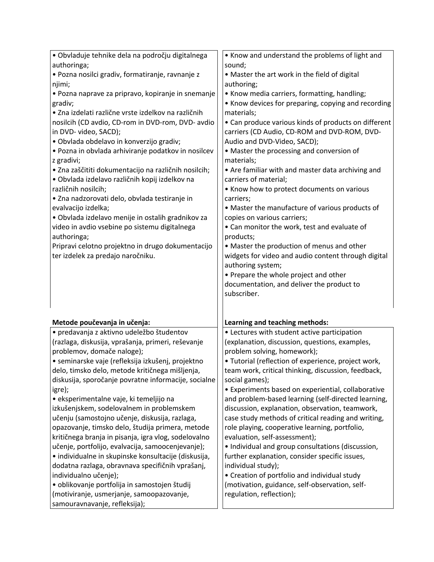| · Obvladuje tehnike dela na področju digitalnega     | • Know and understand the problems of light and                                                           |
|------------------------------------------------------|-----------------------------------------------------------------------------------------------------------|
| authoringa;                                          | sound;                                                                                                    |
| · Pozna nosilci gradiv, formatiranje, ravnanje z     | • Master the art work in the field of digital                                                             |
| njimi;                                               | authoring;                                                                                                |
| · Pozna naprave za pripravo, kopiranje in snemanje   | • Know media carriers, formatting, handling;                                                              |
| gradiv;                                              | • Know devices for preparing, copying and recording                                                       |
| · Zna izdelati različne vrste izdelkov na različnih  | materials;                                                                                                |
| nosilcih (CD avdio, CD-rom in DVD-rom, DVD- avdio    | • Can produce various kinds of products on different                                                      |
| in DVD- video, SACD);                                | carriers (CD Audio, CD-ROM and DVD-ROM, DVD-                                                              |
| · Obvlada obdelavo in konverzijo gradiv;             | Audio and DVD-Video, SACD);                                                                               |
| · Pozna in obvlada arhiviranje podatkov in nosilcev  | • Master the processing and conversion of                                                                 |
| z gradivi;                                           | materials;                                                                                                |
| · Zna zaščititi dokumentacijo na različnih nosilcih; | • Are familiar with and master data archiving and                                                         |
| · Obvlada izdelavo različnih kopij izdelkov na       | carriers of material;                                                                                     |
| različnih nosilcih;                                  | • Know how to protect documents on various                                                                |
| · Zna nadzorovati delo, obvlada testiranje in        | carriers;                                                                                                 |
| evalvacijo izdelka;                                  | • Master the manufacture of various products of                                                           |
| · Obvlada izdelavo menije in ostalih gradnikov za    | copies on various carriers;                                                                               |
| video in avdio vsebine po sistemu digitalnega        | • Can monitor the work, test and evaluate of                                                              |
| authoringa;                                          | products;                                                                                                 |
| Pripravi celotno projektno in drugo dokumentacijo    | • Master the production of menus and other                                                                |
| ter izdelek za predajo naročniku.                    | widgets for video and audio content through digital                                                       |
|                                                      | authoring system;                                                                                         |
|                                                      | • Prepare the whole project and other                                                                     |
|                                                      | documentation, and deliver the product to                                                                 |
|                                                      | subscriber.                                                                                               |
|                                                      |                                                                                                           |
|                                                      |                                                                                                           |
| Metode poučevanja in učenja:                         | Learning and teaching methods:                                                                            |
| · predavanja z aktivno udeležbo študentov            | • Lectures with student active participation                                                              |
| (razlaga, diskusija, vprašanja, primeri, reševanje   | (explanation, discussion, questions, examples,                                                            |
| problemov, domače naloge);                           | problem solving, homework);                                                                               |
| · seminarske vaje (refleksija izkušenj, projektno    | · Tutorial (reflection of experience, project work,                                                       |
| delo, timsko delo, metode kritičnega mišljenja,      | team work, critical thinking, discussion, feedback,                                                       |
| diskusija, sporočanje povratne informacije, socialne | social games);                                                                                            |
| igre);<br>· eksperimentalne vaje, ki temeljijo na    | • Experiments based on experiential, collaborative<br>and problem-based learning (self-directed learning, |
| izkušenjskem, sodelovalnem in problemskem            | discussion, explanation, observation, teamwork,                                                           |
| učenju (samostojno učenje, diskusija, razlaga,       | case study methods of critical reading and writing,                                                       |
| opazovanje, timsko delo, študija primera, metode     | role playing, cooperative learning, portfolio,                                                            |
| kritičnega branja in pisanja, igra vlog, sodelovalno | evaluation, self-assessment);                                                                             |
| učenje, portfolijo, evalvacija, samoocenjevanje);    | • Individual and group consultations (discussion,                                                         |
| • individualne in skupinske konsultacije (diskusija, | further explanation, consider specific issues,                                                            |
| dodatna razlaga, obravnava specifičnih vprašanj,     | individual study);                                                                                        |
| individualno učenje);                                | • Creation of portfolio and individual study                                                              |
| · oblikovanje portfolija in samostojen študij        | (motivation, guidance, self-observation, self-                                                            |
| (motiviranje, usmerjanje, samoopazovanje,            | regulation, reflection);                                                                                  |
| samouravnavanje, refleksija);                        |                                                                                                           |